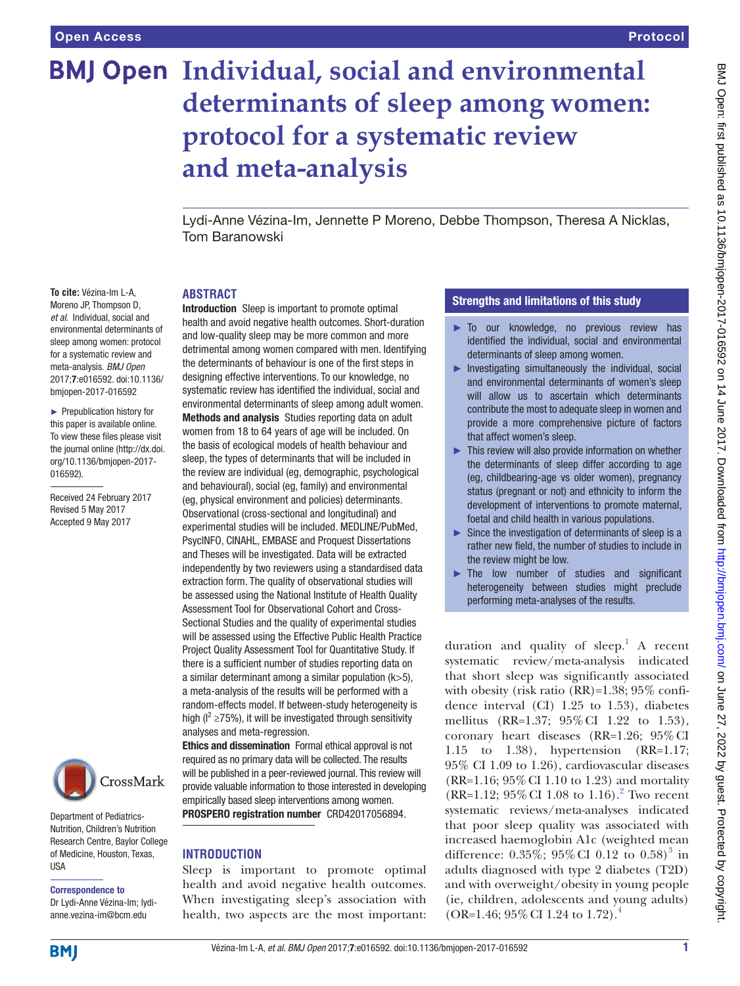# **BMJ Open Individual, social and environmental determinants of sleep among women: protocol for a systematic review and meta-analysis**

Lydi-Anne Vézina-Im, Jennette P Moreno, Debbe Thompson, Theresa A Nicklas, Tom Baranowski

#### **Abstract**

**To cite:** Vézina-Im L-A, Moreno JP, Thompson D, *et al*. Individual, social and environmental determinants of sleep among women: protocol for a systematic review and meta-analysis. *BMJ Open* 2017;7:e016592. doi:10.1136/ bmjopen-2017-016592

► Prepublication history for this paper is available online. To view these files please visit the journal online [\(http://dx.doi.](http://dx.doi.org/10.1136/bmjopen-2017-016592) [org/10.1136/bmjopen-2017-](http://dx.doi.org/10.1136/bmjopen-2017-016592) [016592\)](http://dx.doi.org/10.1136/bmjopen-2017-016592).

Received 24 February 2017 Revised 5 May 2017 Accepted 9 May 2017



Department of Pediatrics-Nutrition, Children's Nutrition Research Centre, Baylor College of Medicine, Houston, Texas, **IISA** 

# Correspondence to

Dr Lydi-Anne Vézina-Im; lydianne.vezina-im@bcm.edu

health and avoid negative health outcomes. Short-duration and low-quality sleep may be more common and more detrimental among women compared with men. Identifying the determinants of behaviour is one of the first steps in designing effective interventions. To our knowledge, no systematic review has identified the individual, social and environmental determinants of sleep among adult women. Methods and analysis Studies reporting data on adult women from 18 to 64 years of age will be included. On the basis of ecological models of health behaviour and sleep, the types of determinants that will be included in the review are individual (eg, demographic, psychological and behavioural), social (eg, family) and environmental (eg, physical environment and policies) determinants. Observational (cross-sectional and longitudinal) and experimental studies will be included. MEDLINE/PubMed, PsycINFO, CINAHL, EMBASE and Proquest Dissertations and Theses will be investigated. Data will be extracted independently by two reviewers using a standardised data extraction form. The quality of observational studies will be assessed using the National Institute of Health Quality Assessment Tool for Observational Cohort and Cross-Sectional Studies and the quality of experimental studies will be assessed using the Effective Public Health Practice Project Quality Assessment Tool for Quantitative Study. If there is a sufficient number of studies reporting data on a similar determinant among a similar population (k>5), a meta-analysis of the results will be performed with a random-effects model. If between-study heterogeneity is high ( $I^2 \ge 75\%$ ), it will be investigated through sensitivity analyses and meta-regression.

Introduction Sleep is important to promote optimal

Ethics and dissemination Formal ethical approval is not required as no primary data will be collected. The results will be published in a peer-reviewed journal. This review will provide valuable information to those interested in developing empirically based sleep interventions among women. PROSPERO registration number CRD42017056894.

# **Introduction**

Sleep is important to promote optimal health and avoid negative health outcomes. When investigating sleep's association with health, two aspects are the most important:

# Strengths and limitations of this study

- ► To our knowledge, no previous review has identified the individual, social and environmental determinants of sleep among women.
- $\blacktriangleright$  Investigating simultaneously the individual, social and environmental determinants of women's sleep will allow us to ascertain which determinants contribute the most to adequate sleep in women and provide a more comprehensive picture of factors that affect women's sleep.
- $\blacktriangleright$  This review will also provide information on whether the determinants of sleep differ according to age (eg, childbearing-age vs older women), pregnancy status (pregnant or not) and ethnicity to inform the development of interventions to promote maternal, foetal and child health in various populations.
- $\blacktriangleright$  Since the investigation of determinants of sleep is a rather new field, the number of studies to include in the review might be low.
- ► The low number of studies and significant heterogeneity between studies might preclude performing meta-analyses of the results.

duration and quality of  $sleep.^{1}$  $sleep.^{1}$  $sleep.^{1}$  A recent systematic review/meta-analysis indicated that short sleep was significantly associated with obesity (risk ratio (RR)=1.38; 95% confidence interval (CI) 1.25 to 1.53), diabetes mellitus (RR=1.37; 95%CI 1.22 to 1.53), coronary heart diseases (RR=1.26; 95%CI 1.15 to 1.38), hypertension (RR=1.17; 95% CI 1.09 to 1.26), cardiovascular diseases  $(RR=1.16; 95\% CI 1.10$  to 1.23) and mortality (RR=1.1[2](#page-4-1);  $95\%$  CI 1.08 to 1.16).<sup>2</sup> Two recent systematic reviews/meta-analyses indicated that poor sleep quality was associated with increased haemoglobin A1c (weighted mean difference:  $0.35\%$  $0.35\%$  $0.35\%$ ;  $95\%$  CI  $0.12$  to  $0.58$ <sup>3</sup> in adults diagnosed with type 2 diabetes (T2D) and with overweight/obesity in young people (ie, children, adolescents and young adults) (OR=1[.4](#page-4-3)6;  $95\%$  CI 1.24 to 1.72).<sup>4</sup>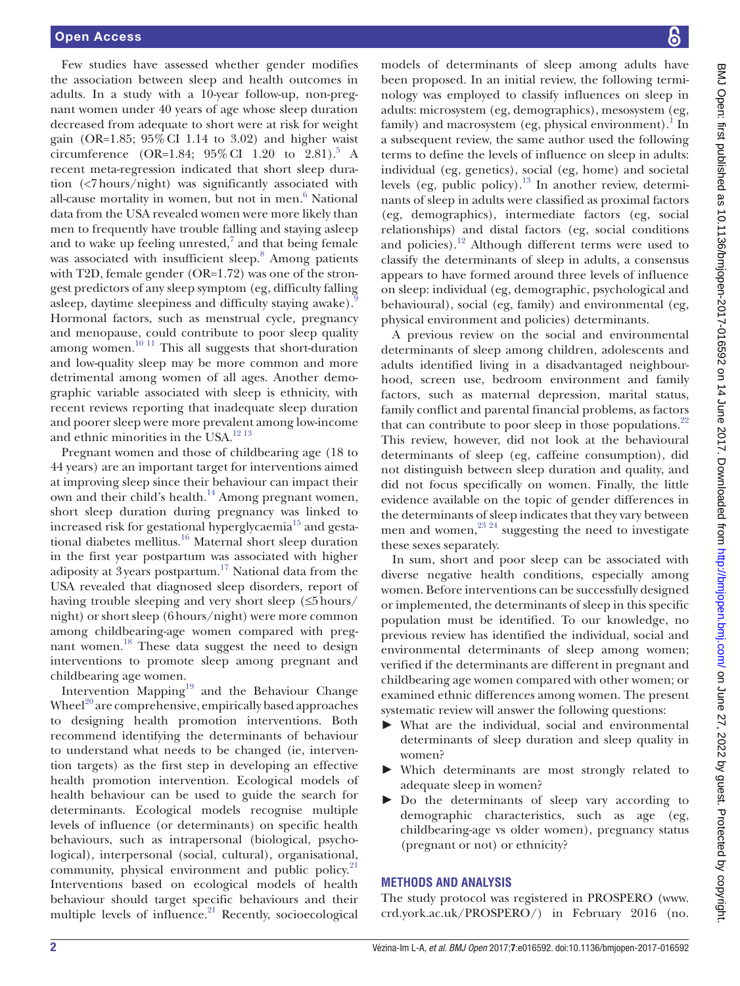Few studies have assessed whether gender modifies the association between sleep and health outcomes in adults. In a study with a 10-year follow-up, non-pregnant women under 40 years of age whose sleep duration decreased from adequate to short were at risk for weight gain (OR=1.85; 95%CI 1.14 to 3.02) and higher waist circumference (OR=1.84;  $95\%$  $95\%$  $95\%$  CI 1.20 to 2.81).<sup>5</sup> A recent meta-regression indicated that short sleep duration (<7hours/night) was significantly associated with all-cause mortality in women, but not in men.<sup>[6](#page-4-5)</sup> National data from the USA revealed women were more likely than men to frequently have trouble falling and staying asleep and to wake up feeling unrested, $7$  and that being female was associated with insufficient sleep.<sup>8</sup> Among patients with T2D, female gender (OR=1.72) was one of the strongest predictors of any sleep symptom (eg, difficulty falling asleep, daytime sleepiness and difficulty staying awake). Hormonal factors, such as menstrual cycle, pregnancy and menopause, could contribute to poor sleep quality among women.<sup>10 11</sup> This all suggests that short-duration and low-quality sleep may be more common and more detrimental among women of all ages. Another demographic variable associated with sleep is ethnicity, with recent reviews reporting that inadequate sleep duration and poorer sleep were more prevalent among low-income and ethnic minorities in the USA.<sup>12 13</sup>

Pregnant women and those of childbearing age (18 to 44 years) are an important target for interventions aimed at improving sleep since their behaviour can impact their own and their child's health. $^{14}$  $^{14}$  $^{14}$  Among pregnant women, short sleep duration during pregnancy was linked to increased risk for gestational hyperglycaemia<sup>[15](#page-4-12)</sup> and gestational diabetes mellitus.[16](#page-4-13) Maternal short sleep duration in the first year postpartum was associated with higher adiposity at 3years postpartum[.17](#page-4-14) National data from the USA revealed that diagnosed sleep disorders, report of having trouble sleeping and very short sleep (≤5hours/ night) or short sleep (6hours/night) were more common among childbearing-age women compared with preg-nant women.<sup>[18](#page-4-15)</sup> These data suggest the need to design interventions to promote sleep among pregnant and childbearing age women.

Intervention Mapping<sup>19</sup> and the Behaviour Change Wheel $^{20}$  are comprehensive, empirically based approaches to designing health promotion interventions. Both recommend identifying the determinants of behaviour to understand what needs to be changed (ie, intervention targets) as the first step in developing an effective health promotion intervention. Ecological models of health behaviour can be used to guide the search for determinants. Ecological models recognise multiple levels of influence (or determinants) on specific health behaviours, such as intrapersonal (biological, psychological), interpersonal (social, cultural), organisational, community, physical environment and public policy.<sup>21</sup> Interventions based on ecological models of health behaviour should target specific behaviours and their multiple levels of influence.<sup>21</sup> Recently, socioecological

models of determinants of sleep among adults have been proposed. In an initial review, the following terminology was employed to classify influences on sleep in adults: microsystem (eg, demographics), mesosystem (eg, family) and macrosystem (eg, physical environment).<sup>[1](#page-4-0)</sup> In a subsequent review, the same author used the following terms to define the levels of influence on sleep in adults: individual (eg, genetics), social (eg, home) and societal levels (eg, public policy).<sup>13</sup> In another review, determinants of sleep in adults were classified as proximal factors (eg, demographics), intermediate factors (eg, social relationships) and distal factors (eg, social conditions and policies).<sup>12</sup> Although different terms were used to classify the determinants of sleep in adults, a consensus appears to have formed around three levels of influence on sleep: individual (eg, demographic, psychological and behavioural), social (eg, family) and environmental (eg, physical environment and policies) determinants.

A previous review on the social and environmental determinants of sleep among children, adolescents and adults identified living in a disadvantaged neighbourhood, screen use, bedroom environment and family factors, such as maternal depression, marital status, family conflict and parental financial problems, as factors that can contribute to poor sleep in those populations. $22$ This review, however, did not look at the behavioural determinants of sleep (eg, caffeine consumption), did not distinguish between sleep duration and quality, and did not focus specifically on women. Finally, the little evidence available on the topic of gender differences in the determinants of sleep indicates that they vary between men and women,  $^{23}$   $^{24}$  suggesting the need to investigate these sexes separately.

In sum, short and poor sleep can be associated with diverse negative health conditions, especially among women. Before interventions can be successfully designed or implemented, the determinants of sleep in this specific population must be identified. To our knowledge, no previous review has identified the individual, social and environmental determinants of sleep among women; verified if the determinants are different in pregnant and childbearing age women compared with other women; or examined ethnic differences among women. The present systematic review will answer the following questions:

- ► What are the individual, social and environmental determinants of sleep duration and sleep quality in women?
- ► Which determinants are most strongly related to adequate sleep in women?
- ► Do the determinants of sleep vary according to demographic characteristics, such as age (eg, childbearing-age vs older women), pregnancy status (pregnant or not) or ethnicity?

# **Methods and analysis**

The study protocol was registered in PROSPERO ([www.](www.crd.york.ac.uk/PROSPERO/) [crd.york.ac.uk/PROSPERO/\)](www.crd.york.ac.uk/PROSPERO/) in February 2016 (no.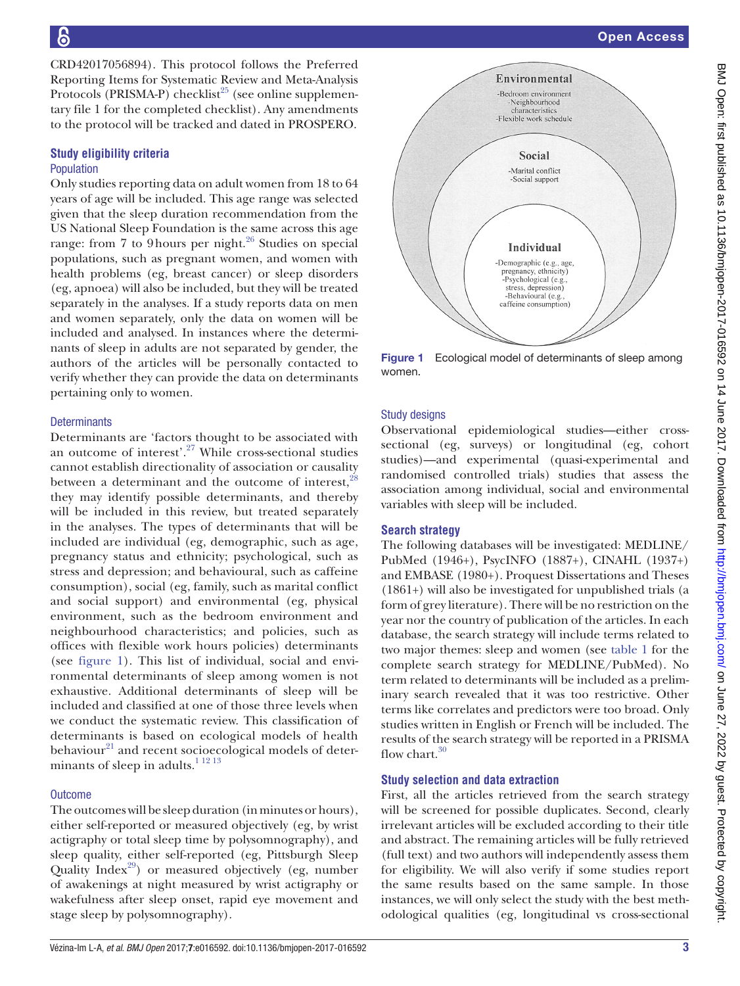BMJ Open: first published as 10.1136/bmjopen-2017-016592 on 14 June 2017. Downloaded from http://bmjopen.bmj.com/ on June 27, 2022 by guest. Protected by copyright BMJ Open: first published as 10.1136/bmjopen-2017-016592 on 14 June 2017. Downloaded from <http://bmjopen.bmj.com/> BMJ On June 27, 2022 by guest. Protected by copyright.

CRD42017056894). This protocol follows the Preferred Reporting Items for Systematic Review and Meta-Analysis Protocols (PRISMA-P) checklist<sup>25</sup> (see online [supplemen](https://dx.doi.org/10.1136/bmjopen-2017-016592)[tary file 1](https://dx.doi.org/10.1136/bmjopen-2017-016592) for the completed checklist). Any amendments to the protocol will be tracked and dated in PROSPERO.

#### **Study eligibility criteria** Population

Only studies reporting data on adult women from 18 to 64 years of age will be included. This age range was selected given that the sleep duration recommendation from the US National Sleep Foundation is the same across this age range: from 7 to 9 hours per night.<sup>26</sup> Studies on special populations, such as pregnant women, and women with health problems (eg, breast cancer) or sleep disorders (eg, apnoea) will also be included, but they will be treated separately in the analyses. If a study reports data on men and women separately, only the data on women will be included and analysed. In instances where the determinants of sleep in adults are not separated by gender, the authors of the articles will be personally contacted to verify whether they can provide the data on determinants pertaining only to women.

# **Determinants**

Determinants are 'factors thought to be associated with an outcome of interest'.<sup>[27](#page-5-7)</sup> While cross-sectional studies cannot establish directionality of association or causality between a determinant and the outcome of interest,<sup>[28](#page-5-8)</sup> they may identify possible determinants, and thereby will be included in this review, but treated separately in the analyses. The types of determinants that will be included are individual (eg, demographic, such as age, pregnancy status and ethnicity; psychological, such as stress and depression; and behavioural, such as caffeine consumption), social (eg, family, such as marital conflict and social support) and environmental (eg, physical environment, such as the bedroom environment and neighbourhood characteristics; and policies, such as offices with flexible work hours policies) determinants (see [figure](#page-2-0) 1). This list of individual, social and environmental determinants of sleep among women is not exhaustive. Additional determinants of sleep will be included and classified at one of those three levels when we conduct the systematic review. This classification of determinants is based on ecological models of health behaviour<sup>[21](#page-5-2)</sup> and recent socioecological models of determinants of sleep in adults. $11213$ 

# **Outcome**

The outcomes will be sleep duration (in minutes or hours), either self-reported or measured objectively (eg, by wrist actigraphy or total sleep time by polysomnography), and sleep quality, either self-reported (eg, Pittsburgh Sleep Quality Index $^{29}$  $^{29}$  $^{29}$ ) or measured objectively (eg, number of awakenings at night measured by wrist actigraphy or wakefulness after sleep onset, rapid eye movement and stage sleep by polysomnography).



<span id="page-2-0"></span>Figure 1 Ecological model of determinants of sleep among women.

# Study designs

Observational epidemiological studies—either crosssectional (eg, surveys) or longitudinal (eg, cohort studies)—and experimental (quasi-experimental and randomised controlled trials) studies that assess the association among individual, social and environmental variables with sleep will be included.

# **Search strategy**

The following databases will be investigated: MEDLINE/ PubMed (1946+), PsycINFO (1887+), CINAHL (1937+) and EMBASE (1980+). Proquest Dissertations and Theses (1861+) will also be investigated for unpublished trials (a form of grey literature). There will be no restriction on the year nor the country of publication of the articles. In each database, the search strategy will include terms related to two major themes: sleep and women (see [table](#page-3-0) 1 for the complete search strategy for MEDLINE/PubMed). No term related to determinants will be included as a preliminary search revealed that it was too restrictive. Other terms like correlates and predictors were too broad. Only studies written in English or French will be included. The results of the search strategy will be reported in a PRISMA flow chart. $30$ 

# **Study selection and data extraction**

First, all the articles retrieved from the search strategy will be screened for possible duplicates. Second, clearly irrelevant articles will be excluded according to their title and abstract. The remaining articles will be fully retrieved (full text) and two authors will independently assess them for eligibility. We will also verify if some studies report the same results based on the same sample. In those instances, we will only select the study with the best methodological qualities (eg, longitudinal vs cross-sectional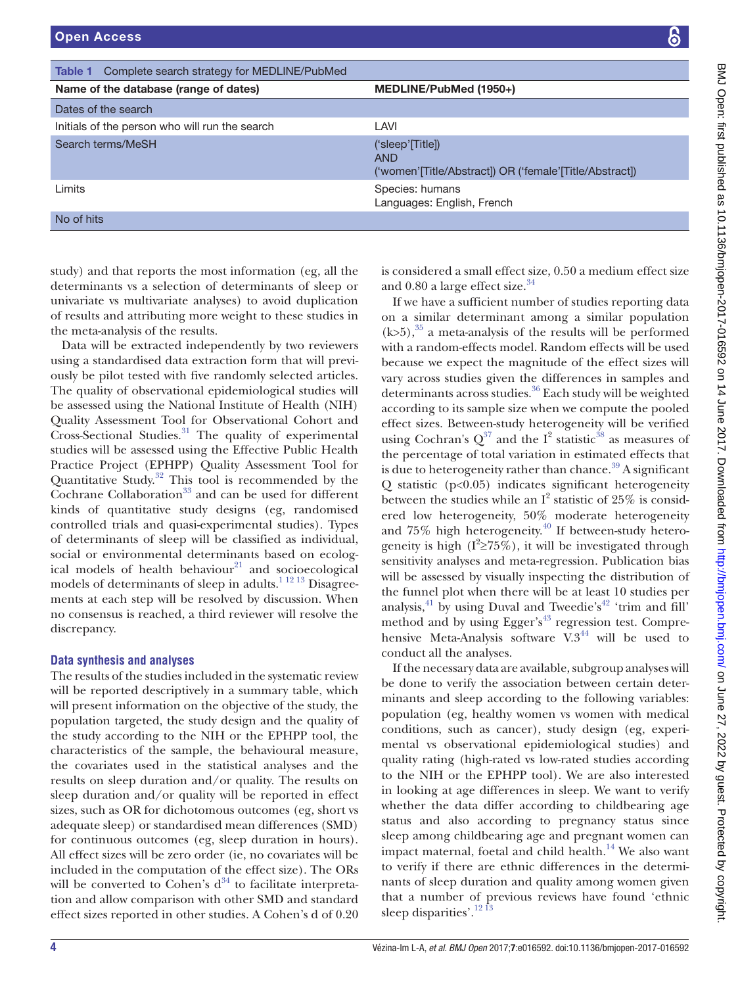<span id="page-3-0"></span>

| <b>Open Access</b>                                     | ၆                                                                                         |
|--------------------------------------------------------|-------------------------------------------------------------------------------------------|
| Complete search strategy for MEDLINE/PubMed<br>Table 1 |                                                                                           |
| Name of the database (range of dates)                  | MEDLINE/PubMed (1950+)                                                                    |
| Dates of the search                                    |                                                                                           |
| Initials of the person who will run the search         | LAVI                                                                                      |
| Search terms/MeSH                                      | ('sleep'[Title])<br><b>AND</b><br>('women' Title/Abstract]) OR ('female' Title/Abstract]) |
| Limits                                                 | Species: humans<br>Languages: English, French                                             |
| No of hits                                             |                                                                                           |

study) and that reports the most information (eg, all the determinants vs a selection of determinants of sleep or univariate vs multivariate analyses) to avoid duplication of results and attributing more weight to these studies in the meta-analysis of the results.

Data will be extracted independently by two reviewers using a standardised data extraction form that will previously be pilot tested with five randomly selected articles. The quality of observational epidemiological studies will be assessed using the National Institute of Health (NIH) Quality Assessment Tool for Observational Cohort and Cross-Sectional Studies.<sup>31</sup> The quality of experimental studies will be assessed using the Effective Public Health Practice Project (EPHPP) Quality Assessment Tool for Quantitative Study.<sup>32</sup> This tool is recommended by the Cochrane Collaboration $33$  and can be used for different kinds of quantitative study designs (eg, randomised controlled trials and quasi-experimental studies). Types of determinants of sleep will be classified as individual, social or environmental determinants based on ecological models of health behaviour $21$  and socioecological models of determinants of sleep in adults.<sup>[1 12 13](#page-4-0)</sup> Disagreements at each step will be resolved by discussion. When no consensus is reached, a third reviewer will resolve the discrepancy.

# **Data synthesis and analyses**

The results of the studies included in the systematic review will be reported descriptively in a summary table, which will present information on the objective of the study, the population targeted, the study design and the quality of the study according to the NIH or the EPHPP tool, the characteristics of the sample, the behavioural measure, the covariates used in the statistical analyses and the results on sleep duration and/or quality. The results on sleep duration and/or quality will be reported in effect sizes, such as OR for dichotomous outcomes (eg, short vs adequate sleep) or standardised mean differences (SMD) for continuous outcomes (eg, sleep duration in hours). All effect sizes will be zero order (ie, no covariates will be included in the computation of the effect size). The ORs will be converted to Cohen's  $d^{34}$  to facilitate interpretation and allow comparison with other SMD and standard effect sizes reported in other studies. A Cohen's d of 0.20

is considered a small effect size, 0.50 a medium effect size and 0.80 a large effect size. $34$ 

If we have a sufficient number of studies reporting data on a similar determinant among a similar population  $(k>5)$ ,<sup>35</sup> a meta-analysis of the results will be performed with a random-effects model. Random effects will be used because we expect the magnitude of the effect sizes will vary across studies given the differences in samples and determinants across studies.<sup>36</sup> Each study will be weighted according to its sample size when we compute the pooled effect sizes. Between-study heterogeneity will be verified using Cochran's  $Q^{37}$  and the I<sup>2</sup> statistic<sup>38</sup> as measures of the percentage of total variation in estimated effects that is due to heterogeneity rather than chance. $39$  A significant  $Q$  statistic ( $p<0.05$ ) indicates significant heterogeneity between the studies while an  $I^2$  statistic of 25% is considered low heterogeneity, 50% moderate heterogeneity and  $75\%$  high heterogeneity.<sup>40</sup> If between-study heterogeneity is high  $(I^2 \geq 75\%)$ , it will be investigated through sensitivity analyses and meta-regression. Publication bias will be assessed by visually inspecting the distribution of the funnel plot when there will be at least 10 studies per analysis, $^{41}$  by using Duval and Tweedie's $^{42}$  'trim and fill' method and by using Egger's<sup>43</sup> regression test. Comprehensive Meta-Analysis software  $V.3^{44}$  $V.3^{44}$  $V.3^{44}$  will be used to conduct all the analyses.

If the necessary data are available, subgroup analyses will be done to verify the association between certain determinants and sleep according to the following variables: population (eg, healthy women vs women with medical conditions, such as cancer), study design (eg, experimental vs observational epidemiological studies) and quality rating (high-rated vs low-rated studies according to the NIH or the EPHPP tool). We are also interested in looking at age differences in sleep. We want to verify whether the data differ according to childbearing age status and also according to pregnancy status since sleep among childbearing age and pregnant women can impact maternal, foetal and child health.<sup>14</sup> We also want to verify if there are ethnic differences in the determinants of sleep duration and quality among women given that a number of previous reviews have found 'ethnic sleep disparities'.<sup>[12 13](#page-4-10)</sup>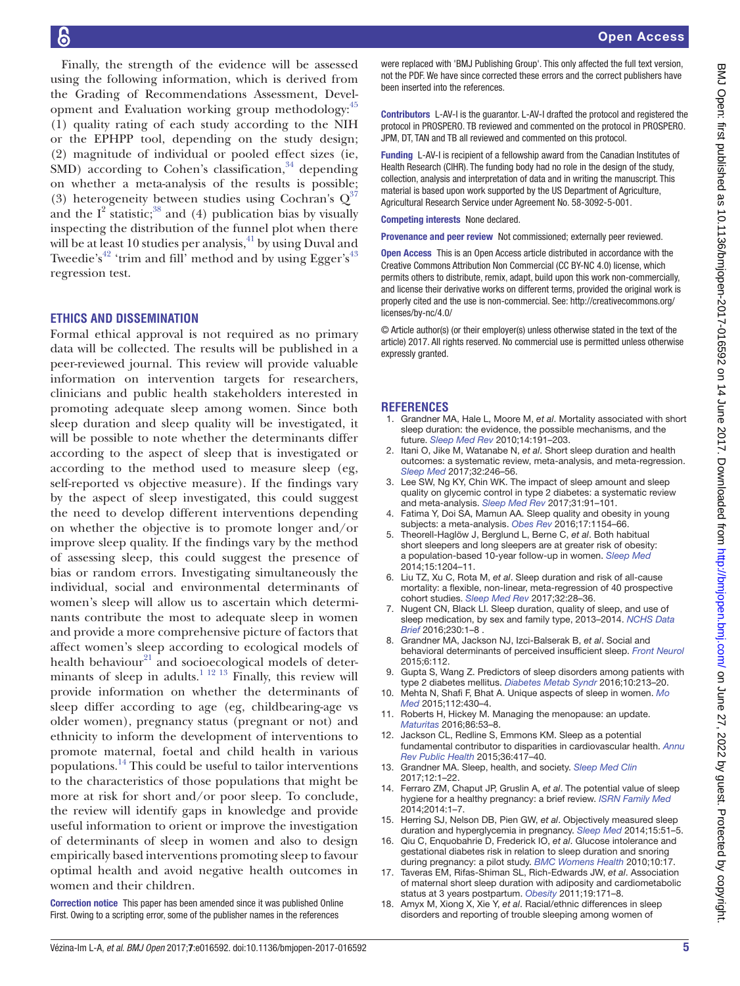Finally, the strength of the evidence will be assessed using the following information, which is derived from the Grading of Recommendations Assessment, Development and Evaluation working group methodology:<sup>45</sup> (1) quality rating of each study according to the NIH or the EPHPP tool, depending on the study design; (2) magnitude of individual or pooled effect sizes (ie, SMD) according to Cohen's classification,  $34$  depending on whether a meta-analysis of the results is possible; (3) heterogeneity between studies using Cochran's  $Q^{37}$ and the  $I^2$  statistic;<sup>38</sup> and (4) publication bias by visually inspecting the distribution of the funnel plot when there will be at least 10 studies per analysis, $^{41}$  by using Duval and Tweedie's<sup>42</sup> 'trim and fill' method and by using Egger's<sup>43</sup> regression test.

#### **Ethics and dissemination**

Formal ethical approval is not required as no primary data will be collected. The results will be published in a peer-reviewed journal. This review will provide valuable information on intervention targets for researchers, clinicians and public health stakeholders interested in promoting adequate sleep among women. Since both sleep duration and sleep quality will be investigated, it will be possible to note whether the determinants differ according to the aspect of sleep that is investigated or according to the method used to measure sleep (eg, self-reported vs objective measure). If the findings vary by the aspect of sleep investigated, this could suggest the need to develop different interventions depending on whether the objective is to promote longer and/or improve sleep quality. If the findings vary by the method of assessing sleep, this could suggest the presence of bias or random errors. Investigating simultaneously the individual, social and environmental determinants of women's sleep will allow us to ascertain which determinants contribute the most to adequate sleep in women and provide a more comprehensive picture of factors that affect women's sleep according to ecological models of health behaviour $^{21}$  and socioecological models of deter-minants of sleep in adults.<sup>[1 12 13](#page-4-0)</sup> Finally, this review will provide information on whether the determinants of sleep differ according to age (eg, childbearing-age vs older women), pregnancy status (pregnant or not) and ethnicity to inform the development of interventions to promote maternal, foetal and child health in various populations.[14](#page-4-11) This could be useful to tailor interventions to the characteristics of those populations that might be more at risk for short and/or poor sleep. To conclude, the review will identify gaps in knowledge and provide useful information to orient or improve the investigation of determinants of sleep in women and also to design empirically based interventions promoting sleep to favour optimal health and avoid negative health outcomes in women and their children.

Correction notice This paper has been amended since it was published Online First. Owing to a scripting error, some of the publisher names in the references

were replaced with 'BMJ Publishing Group'. This only affected the full text version, not the PDF. We have since corrected these errors and the correct publishers have been inserted into the references.

Contributors L-AV-I is the guarantor. L-AV-I drafted the protocol and registered the protocol in PROSPERO. TB reviewed and commented on the protocol in PROSPERO. JPM, DT, TAN and TB all reviewed and commented on this protocol.

Funding L-AV-I is recipient of a fellowship award from the Canadian Institutes of Health Research (CIHR). The funding body had no role in the design of the study, collection, analysis and interpretation of data and in writing the manuscript. This material is based upon work supported by the US Department of Agriculture, Agricultural Research Service under Agreement No. 58-3092-5-001.

Competing interests None declared.

Provenance and peer review Not commissioned; externally peer reviewed.

Open Access This is an Open Access article distributed in accordance with the Creative Commons Attribution Non Commercial (CC BY-NC 4.0) license, which permits others to distribute, remix, adapt, build upon this work non-commercially, and license their derivative works on different terms, provided the original work is properly cited and the use is non-commercial. See: [http://creativecommons.org/](http://creativecommons.org/licenses/by-nc/4.0/) [licenses/by-nc/4.0/](http://creativecommons.org/licenses/by-nc/4.0/)

© Article author(s) (or their employer(s) unless otherwise stated in the text of the article) 2017. All rights reserved. No commercial use is permitted unless otherwise expressly granted.

#### **References**

- <span id="page-4-0"></span>1. Grandner MA, Hale L, Moore M, *et al*. Mortality associated with short sleep duration: the evidence, the possible mechanisms, and the future. *[Sleep Med Rev](http://dx.doi.org/10.1016/j.smrv.2009.07.006)* 2010;14:191–203.
- <span id="page-4-1"></span>2. Itani O, Jike M, Watanabe N, *et al*. Short sleep duration and health outcomes: a systematic review, meta-analysis, and meta-regression. *[Sleep Med](http://dx.doi.org/10.1016/j.sleep.2016.08.006)* 2017;32:246–56.
- <span id="page-4-2"></span>3. Lee SW, Ng KY, Chin WK. The impact of sleep amount and sleep quality on glycemic control in type 2 diabetes: a systematic review and meta-analysis. *[Sleep Med Rev](http://dx.doi.org/10.1016/j.smrv.2016.02.001)* 2017;31:91–101.
- <span id="page-4-3"></span>4. Fatima Y, Doi SA, Mamun AA. Sleep quality and obesity in young subjects: a meta-analysis. *[Obes Rev](http://dx.doi.org/10.1111/obr.12444)* 2016;17:1154–66.
- <span id="page-4-4"></span>5. Theorell-Haglöw J, Berglund L, Berne C, *et al*. Both habitual short sleepers and long sleepers are at greater risk of obesity: a population-based 10-year follow-up in women. *[Sleep Med](http://dx.doi.org/10.1016/j.sleep.2014.02.014)* 2014;15:1204–11.
- <span id="page-4-5"></span>6. Liu TZ, Xu C, Rota M, *et al*. Sleep duration and risk of all-cause mortality: a flexible, non-linear, meta-regression of 40 prospective cohort studies. *[Sleep Med Rev](http://dx.doi.org/10.1016/j.smrv.2016.02.005)* 2017;32:28–36.
- <span id="page-4-6"></span>7. Nugent CN, Black LI. Sleep duration, quality of sleep, and use of sleep medication, by sex and family type, 2013–2014. *NCHS Data Brief* 2016;230:1–8 .
- <span id="page-4-7"></span>8. Grandner MA, Jackson NJ, Izci-Balserak B, *et al*. Social and behavioral determinants of perceived insufficient sleep. *[Front Neurol](http://dx.doi.org/10.3389/fneur.2015.00112)* 2015;6:112.
- <span id="page-4-8"></span>9. Gupta S, Wang Z. Predictors of sleep disorders among patients with type 2 diabetes mellitus. *[Diabetes Metab Syndr](http://dx.doi.org/10.1016/j.dsx.2016.06.009)* 2016;10:213–20.
- <span id="page-4-9"></span>10. Mehta N, Shafi F, Bhat A. Unique aspects of sleep in women. *Mo Med* 2015;112:430–4.
- 11. Roberts H, Hickey M. Managing the menopause: an update. *[Maturitas](http://dx.doi.org/10.1016/j.maturitas.2016.01.007)* 2016;86:53–8.
- <span id="page-4-10"></span>12. Jackson CL, Redline S, Emmons KM. Sleep as a potential fundamental contributor to disparities in cardiovascular health. *[Annu](http://dx.doi.org/10.1146/annurev-publhealth-031914-122838)  [Rev Public Health](http://dx.doi.org/10.1146/annurev-publhealth-031914-122838)* 2015;36:417–40.
- <span id="page-4-16"></span>13. Grandner MA. Sleep, health, and society. *[Sleep Med Clin](http://dx.doi.org/10.1016/j.jsmc.2016.10.012)* 2017;12:1–22.
- <span id="page-4-11"></span>14. Ferraro ZM, Chaput JP, Gruslin A, *et al*. The potential value of sleep hygiene for a healthy pregnancy: a brief review. *[ISRN Family Med](http://dx.doi.org/10.1155/2014/928293)* 2014;2014:1–7.
- <span id="page-4-12"></span>15. Herring SJ, Nelson DB, Pien GW, *et al*. Objectively measured sleep duration and hyperglycemia in pregnancy. *[Sleep Med](http://dx.doi.org/10.1016/j.sleep.2013.07.018)* 2014;15:51–5.
- <span id="page-4-13"></span>16. Qiu C, Enquobahrie D, Frederick IO, *et al*. Glucose intolerance and gestational diabetes risk in relation to sleep duration and snoring during pregnancy: a pilot study. *[BMC Womens Health](http://dx.doi.org/10.1186/1472-6874-10-17)* 2010;10:17.
- <span id="page-4-14"></span>17. Taveras EM, Rifas-Shiman SL, Rich-Edwards JW, *et al*. Association of maternal short sleep duration with adiposity and cardiometabolic status at 3 years postpartum. *[Obesity](http://dx.doi.org/10.1038/oby.2010.117)* 2011;19:171–8.
- <span id="page-4-15"></span>18. Amyx M, Xiong X, Xie Y, *et al*. Racial/ethnic differences in sleep disorders and reporting of trouble sleeping among women of